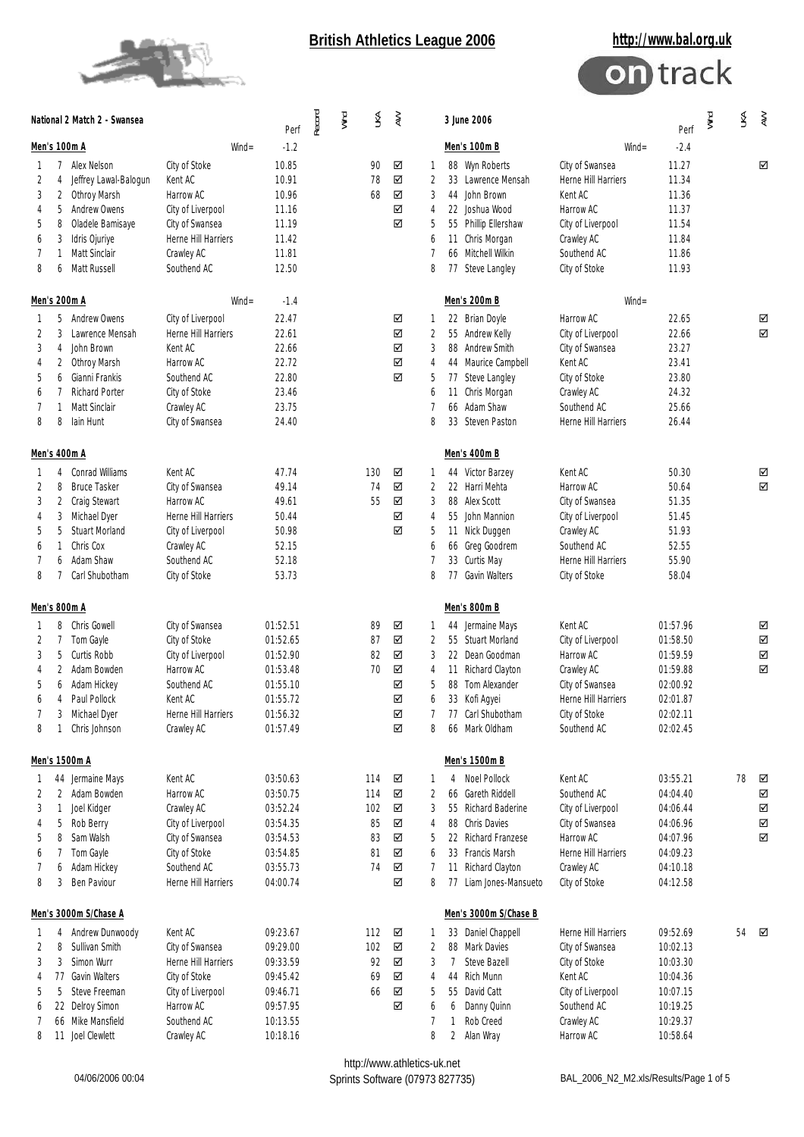



|                                                 |                                      | National 2 Match 2 - Swansea                                                                                                                     |                                                                                                                                   | Perf                                                                                         | Record | Wind | $\lessgtr$                                | $\geqslant$                          |                                                                | 3 June 2006                                                                                                                                                              | Perf                                                                                                                              | Wind                                                                                         | M | $\gtrapprox$ |                       |
|-------------------------------------------------|--------------------------------------|--------------------------------------------------------------------------------------------------------------------------------------------------|-----------------------------------------------------------------------------------------------------------------------------------|----------------------------------------------------------------------------------------------|--------|------|-------------------------------------------|--------------------------------------|----------------------------------------------------------------|--------------------------------------------------------------------------------------------------------------------------------------------------------------------------|-----------------------------------------------------------------------------------------------------------------------------------|----------------------------------------------------------------------------------------------|---|--------------|-----------------------|
|                                                 |                                      | Men's 100m A                                                                                                                                     | $W\!in d =$<br>$-1.2$                                                                                                             |                                                                                              |        |      |                                           |                                      | Men's 100m B                                                   | $Wind =$                                                                                                                                                                 | $-2.4$                                                                                                                            |                                                                                              |   |              |                       |
| 2<br>3<br>4<br>5<br>6<br>7<br>8                 | 4<br>2<br>5<br>8<br>3<br>1<br>6      | 7 Alex Nelson<br>Jeffrey Lawal-Balogun<br>Othroy Marsh<br>Andrew Owens<br>Oladele Bamisaye<br>Idris Ojuriye<br>Matt Sinclair<br>Matt Russell     | City of Stoke<br>Kent AC<br>Harrow AC<br>City of Liverpool<br>City of Swansea<br>Herne Hill Harriers<br>Crawley AC<br>Southend AC | 10.85<br>10.91<br>10.96<br>11.16<br>11.19<br>11.42<br>11.81<br>12.50                         |        |      | 90<br>78<br>68                            | ☑<br>☑<br>☑<br>☑<br>☑                | 1<br>2<br>3<br>$\overline{4}$<br>5<br>6<br>7<br>8              | 88 Wyn Roberts<br>33 Lawrence Mensah<br>44 John Brown<br>22 Joshua Wood<br>55 Phillip Ellershaw<br>11 Chris Morgan<br>66 Mitchell Wilkin<br>77 Steve Langley             | City of Swansea<br>Herne Hill Harriers<br>Kent AC<br>Harrow AC<br>City of Liverpool<br>Crawley AC<br>Southend AC<br>City of Stoke | 11.27<br>11.34<br>11.36<br>11.37<br>11.54<br>11.84<br>11.86<br>11.93                         |   |              | ☑                     |
|                                                 |                                      | Men's 200m A                                                                                                                                     |                                                                                                                                   | $W\!in d =$<br>$-1.4$                                                                        |        |      |                                           |                                      |                                                                | Men's 200m B                                                                                                                                                             | $Wind =$                                                                                                                          |                                                                                              |   |              |                       |
| $\mathbf{1}$<br>2<br>3<br>4<br>5<br>6<br>7<br>8 | 5<br>3<br>4<br>2<br>6<br>7<br>1<br>8 | Andrew Owens<br>Lawrence Mensah<br>John Brown<br>Othroy Marsh<br>Gianni Frankis<br><b>Richard Porter</b><br>Matt Sinclair<br>lain Hunt           | City of Liverpool<br>Herne Hill Harriers<br>Kent AC<br>Harrow AC<br>Southend AC<br>City of Stoke<br>Crawley AC<br>City of Swansea | 22.47<br>22.61<br>22.66<br>22.72<br>22.80<br>23.46<br>23.75<br>24.40                         |        |      |                                           | ☑<br>☑<br>☑<br>☑<br>☑                | 1<br>$\overline{2}$<br>3<br>4<br>5<br>6<br>7<br>8              | 22 Brian Doyle<br>55 Andrew Kelly<br>88 Andrew Smith<br>44 Maurice Campbell<br>77 Steve Langley<br>11 Chris Morgan<br>66 Adam Shaw<br>33 Steven Paston                   | Harrow AC<br>City of Liverpool<br>City of Swansea<br>Kent AC<br>City of Stoke<br>Crawley AC<br>Southend AC<br>Herne Hill Harriers | 22.65<br>22.66<br>23.27<br>23.41<br>23.80<br>24.32<br>25.66<br>26.44                         |   |              | ☑<br>☑                |
|                                                 |                                      | Men's 400m A                                                                                                                                     |                                                                                                                                   |                                                                                              |        |      |                                           |                                      |                                                                | Men's 400m B                                                                                                                                                             |                                                                                                                                   |                                                                                              |   |              |                       |
| 2<br>3<br>4<br>5<br>6<br>7<br>8                 | 4<br>8<br>2<br>3<br>5<br>1<br>6<br>7 | Conrad Williams<br><b>Bruce Tasker</b><br>Craig Stewart<br>Michael Dyer<br><b>Stuart Morland</b><br>Chris Cox<br>Adam Shaw<br>Carl Shubotham     | Kent AC<br>City of Swansea<br>Harrow AC<br>Herne Hill Harriers<br>City of Liverpool<br>Crawley AC<br>Southend AC<br>City of Stoke | 47.74<br>49.14<br>49.61<br>50.44<br>50.98<br>52.15<br>52.18<br>53.73                         |        |      | 130<br>74<br>55                           | ☑<br>☑<br>☑<br>☑<br>☑                | 1<br>2<br>3<br>$\overline{4}$<br>5<br>6<br>7<br>8              | 44 Victor Barzey<br>22 Harri Mehta<br>88 Alex Scott<br>55 John Mannion<br>11 Nick Duggen<br>66 Greg Goodrem<br>33 Curtis May<br>77 Gavin Walters                         | Kent AC<br>Harrow AC<br>City of Swansea<br>City of Liverpool<br>Crawley AC<br>Southend AC<br>Herne Hill Harriers<br>City of Stoke | 50.30<br>50.64<br>51.35<br>51.45<br>51.93<br>52.55<br>55.90<br>58.04                         |   |              | ☑<br>☑                |
|                                                 |                                      | Men's 800m A                                                                                                                                     |                                                                                                                                   |                                                                                              |        |      |                                           |                                      |                                                                | Men's 800m B                                                                                                                                                             |                                                                                                                                   |                                                                                              |   |              |                       |
| 2<br>3<br>4<br>5<br>6<br>8                      | 8<br>7<br>5<br>2<br>6<br>4<br>3<br>1 | Chris Gowell<br>Tom Gayle<br>Curtis Robb<br>Adam Bowden<br>Adam Hickey<br>Paul Pollock<br>Michael Dyer<br>Chris Johnson                          | City of Swansea<br>City of Stoke<br>City of Liverpool<br>Harrow AC<br>Southend AC<br>Kent AC<br>Herne Hill Harriers<br>Crawley AC | 01:52.51<br>01:52.65<br>01:52.90<br>01:53.48<br>01:55.10<br>01:55.72<br>01:56.32<br>01:57.49 |        |      | 89<br>87<br>82<br>70                      | ☑<br>☑<br>☑<br>☑<br>☑<br>☑<br>☑<br>☑ | 1<br>$\overline{2}$<br>3<br>4<br>5<br>6<br>$\overline{7}$<br>8 | 44 Jermaine Mays<br>55 Stuart Morland<br>22 Dean Goodman<br>11 Richard Clayton<br>88 Tom Alexander<br>33 Kofi Aqyei<br>77 Carl Shubotham<br>66 Mark Oldham               | Kent AC<br>City of Liverpool<br>Harrow AC<br>Crawley AC<br>City of Swansea<br>Herne Hill Harriers<br>City of Stoke<br>Southend AC | 01:57.96<br>01:58.50<br>01:59.59<br>01:59.88<br>02:00.92<br>02:01.87<br>02:02.11<br>02:02.45 |   |              | ☑<br>☑<br>☑<br>☑      |
|                                                 |                                      | Men's 1500m A                                                                                                                                    |                                                                                                                                   |                                                                                              |        |      |                                           |                                      |                                                                | Men's 1500m B                                                                                                                                                            |                                                                                                                                   |                                                                                              |   |              |                       |
| 1<br>2<br>3<br>4<br>5<br>6<br>7<br>8            | 2<br>1<br>5<br>8<br>6<br>3           | 44 Jermaine Mays<br>Adam Bowden<br>Joel Kidger<br>Rob Berry<br>Sam Walsh<br>Tom Gayle<br>Adam Hickey<br>Ben Paviour                              | Kent AC<br>Harrow AC<br>Crawley AC<br>City of Liverpool<br>City of Swansea<br>City of Stoke<br>Southend AC<br>Herne Hill Harriers | 03:50.63<br>03:50.75<br>03:52.24<br>03:54.35<br>03:54.53<br>03:54.85<br>03:55.73<br>04:00.74 |        |      | 114<br>114<br>102<br>85<br>83<br>81<br>74 | ☑<br>☑<br>☑<br>☑<br>☑<br>☑<br>☑<br>☑ | 1<br>$\overline{2}$<br>3<br>4<br>5<br>6<br>7<br>8              | 4 Noel Pollock<br>66 Gareth Riddell<br>55 Richard Baderine<br>88 Chris Davies<br>22 Richard Franzese<br>33 Francis Marsh<br>11 Richard Clayton<br>77 Liam Jones-Mansueto | Kent AC<br>Southend AC<br>City of Liverpool<br>City of Swansea<br>Harrow AC<br>Herne Hill Harriers<br>Crawley AC<br>City of Stoke | 03:55.21<br>04:04.40<br>04:06.44<br>04:06.96<br>04:07.96<br>04:09.23<br>04:10.18<br>04:12.58 |   | 78           | ☑<br>☑<br>☑<br>☑<br>☑ |
|                                                 |                                      | Men's 3000m S/Chase A                                                                                                                            |                                                                                                                                   |                                                                                              |        |      |                                           |                                      |                                                                | Men's 3000m S/Chase B                                                                                                                                                    |                                                                                                                                   |                                                                                              |   |              |                       |
| T<br>2<br>3<br>4<br>5<br>6<br>7<br>8            | 4<br>8<br>3<br>5                     | Andrew Dunwoody<br>Sullivan Smith<br>Simon Wurr<br>77 Gavin Walters<br>Steve Freeman<br>22 Delroy Simon<br>66 Mike Mansfield<br>11 Joel Clewlett | Kent AC<br>City of Swansea<br>Herne Hill Harriers<br>City of Stoke<br>City of Liverpool<br>Harrow AC<br>Southend AC<br>Crawley AC | 09:23.67<br>09:29.00<br>09:33.59<br>09:45.42<br>09:46.71<br>09:57.95<br>10:13.55<br>10:18.16 |        |      | 112<br>102<br>92<br>69<br>66              | ☑<br>☑<br>☑<br>☑<br>☑<br>☑           | 1<br>2<br>3<br>$\overline{4}$<br>5<br>6<br>$\overline{7}$<br>8 | 33 Daniel Chappell<br>88 Mark Davies<br>7 Steve Bazell<br>44 Rich Munn<br>55 David Catt<br>Danny Quinn<br>6<br>$\mathbf{1}$<br>Rob Creed<br>2 Alan Wray                  | Herne Hill Harriers<br>City of Swansea<br>City of Stoke<br>Kent AC<br>City of Liverpool<br>Southend AC<br>Crawley AC<br>Harrow AC | 09:52.69<br>10:02.13<br>10:03.30<br>10:04.36<br>10:07.15<br>10:19.25<br>10:29.37<br>10:58.64 |   | 54           | ☑                     |

http://www.athletics-uk.net<br>Sprints Software (07973 827735)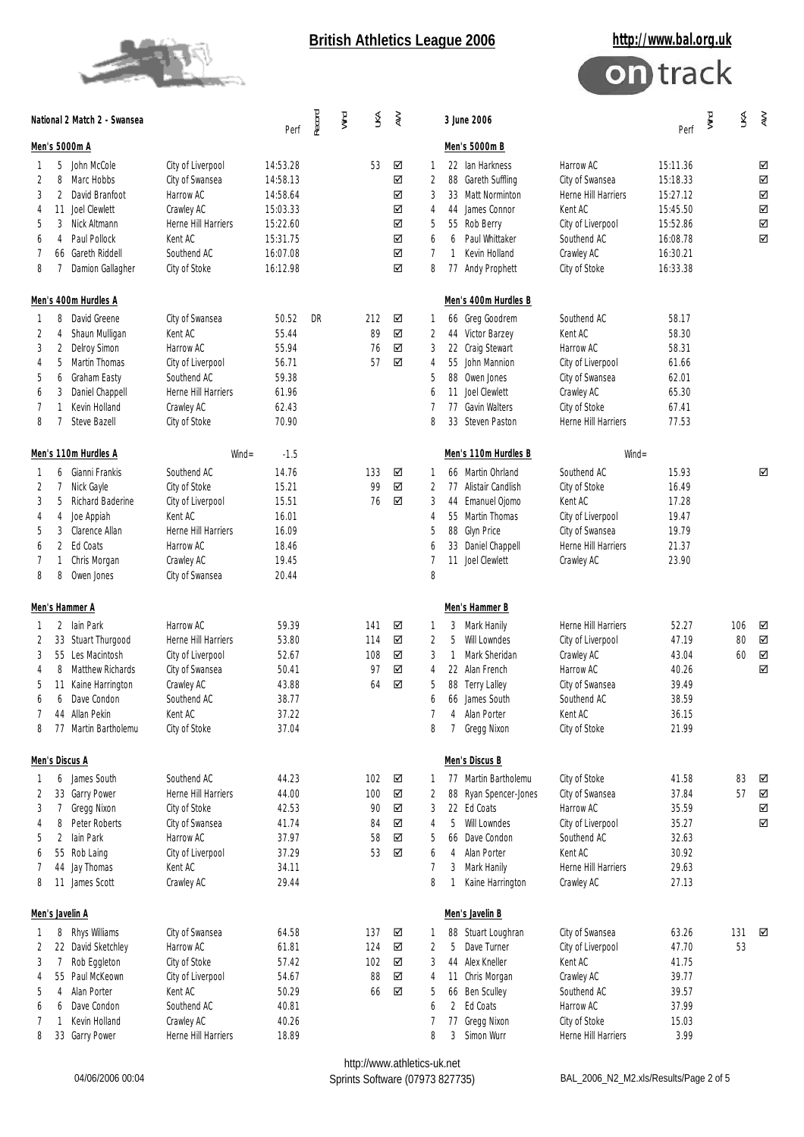



|                                       |                                      | National 2 Match 2 - Swansea                                                                                                                           |                                                                                                                                   | Perf                                                                                         | Record | Wind | N                                  | $\gtrless$                           |                                              | 3 June 2006                                                                                                                                                                    | Perf                                                                                                                              | Wind                                                                                         | ₹ | $\gtrapprox$    |                            |
|---------------------------------------|--------------------------------------|--------------------------------------------------------------------------------------------------------------------------------------------------------|-----------------------------------------------------------------------------------------------------------------------------------|----------------------------------------------------------------------------------------------|--------|------|------------------------------------|--------------------------------------|----------------------------------------------|--------------------------------------------------------------------------------------------------------------------------------------------------------------------------------|-----------------------------------------------------------------------------------------------------------------------------------|----------------------------------------------------------------------------------------------|---|-----------------|----------------------------|
| Men's 5000m A                         |                                      |                                                                                                                                                        |                                                                                                                                   |                                                                                              |        |      |                                    |                                      |                                              | Men's 5000m B                                                                                                                                                                  |                                                                                                                                   |                                                                                              |   |                 |                            |
| 1<br>2<br>3<br>4<br>5<br>6<br>7<br>8  | 8<br>2<br>11<br>3<br>4<br>7          | 5 John McCole<br>Marc Hobbs<br>David Branfoot<br>Joel Clewlett<br>Nick Altmann<br>Paul Pollock<br>66 Gareth Riddell<br>Damion Gallagher                | City of Liverpool<br>City of Swansea<br>Harrow AC<br>Crawley AC<br>Herne Hill Harriers<br>Kent AC<br>Southend AC<br>City of Stoke | 14:53.28<br>14:58.13<br>14:58.64<br>15:03.33<br>15:22.60<br>15:31.75<br>16:07.08<br>16:12.98 |        |      | 53                                 | ☑<br>☑<br>☑<br>☑<br>☑<br>☑<br>☑<br>☑ | 1<br>2<br>3<br>4<br>5<br>6<br>7<br>8         | 22 Ian Harkness<br>88 Gareth Suffling<br>33 Matt Norminton<br>44 James Connor<br>55 Rob Berry<br>Paul Whittaker<br>6<br>Kevin Holland<br>1<br>77 Andy Prophett                 | Harrow AC<br>City of Swansea<br>Herne Hill Harriers<br>Kent AC<br>City of Liverpool<br>Southend AC<br>Crawley AC<br>City of Stoke | 15:11.36<br>15:18.33<br>15:27.12<br>15:45.50<br>15:52.86<br>16:08.78<br>16:30.21<br>16:33.38 |   |                 | ☑<br>☑<br>☑<br>☑<br>☑<br>☑ |
|                                       |                                      | Men's 400m Hurdles A                                                                                                                                   |                                                                                                                                   |                                                                                              |        |      |                                    |                                      |                                              | Men's 400m Hurdles B                                                                                                                                                           |                                                                                                                                   |                                                                                              |   |                 |                            |
| -1<br>2<br>3<br>4<br>5<br>6<br>7<br>8 | 8<br>4<br>2<br>5<br>6<br>3<br>1<br>7 | David Greene<br>Shaun Mulligan<br>Delroy Simon<br>Martin Thomas<br>Graham Easty<br>Daniel Chappell<br>Kevin Holland<br>Steve Bazell                    | City of Swansea<br>Kent AC<br>Harrow AC<br>City of Liverpool<br>Southend AC<br>Herne Hill Harriers<br>Crawley AC<br>City of Stoke | 50.52<br>55.44<br>55.94<br>56.71<br>59.38<br>61.96<br>62.43<br>70.90                         | DR     |      | 212<br>89<br>76<br>57              | ☑<br>☑<br>☑<br>☑                     | 1<br>2<br>3<br>4<br>5<br>6<br>8              | 66 Greg Goodrem<br>44 Victor Barzey<br>22 Craig Stewart<br>55 John Mannion<br>88 Owen Jones<br>11 Joel Clewlett<br>77 Gavin Walters<br>33 Steven Paston                        | Southend AC<br>Kent AC<br>Harrow AC<br>City of Liverpool<br>City of Swansea<br>Crawley AC<br>City of Stoke<br>Herne Hill Harriers | 58.17<br>58.30<br>58.31<br>61.66<br>62.01<br>65.30<br>67.41<br>77.53                         |   |                 |                            |
|                                       |                                      | Men's 110m Hurdles A                                                                                                                                   | $Wind =$                                                                                                                          | $-1.5$                                                                                       |        |      |                                    |                                      |                                              | Men's 110m Hurdles B                                                                                                                                                           | $Wind =$                                                                                                                          |                                                                                              |   |                 |                            |
| 1<br>2<br>3<br>4<br>5<br>6<br>7<br>8  | 7<br>5<br>4<br>3<br>2<br>1<br>8      | 6 Gianni Frankis<br>Nick Gayle<br>Richard Baderine<br>Joe Appiah<br>Clarence Allan<br>Ed Coats<br>Chris Morgan<br>Owen Jones                           | Southend AC<br>City of Stoke<br>City of Liverpool<br>Kent AC<br>Herne Hill Harriers<br>Harrow AC<br>Crawley AC<br>City of Swansea | 14.76<br>15.21<br>15.51<br>16.01<br>16.09<br>18.46<br>19.45<br>20.44                         |        |      | 133<br>99<br>76                    | ☑<br>☑<br>☑                          | 1<br>2<br>3<br>4<br>5<br>6<br>8              | 66 Martin Ohrland<br>77 Alistair Candlish<br>44 Emanuel Ojomo<br>55 Martin Thomas<br>88 Glyn Price<br>33 Daniel Chappell<br>11 Joel Clewlett                                   | Southend AC<br>City of Stoke<br>Kent AC<br>City of Liverpool<br>City of Swansea<br>Herne Hill Harriers<br>Crawley AC              | 15.93<br>16.49<br>17.28<br>19.47<br>19.79<br>21.37<br>23.90                                  |   |                 | ☑                          |
| Men's Hammer A                        |                                      |                                                                                                                                                        |                                                                                                                                   |                                                                                              |        |      |                                    |                                      |                                              | Men's Hammer B                                                                                                                                                                 |                                                                                                                                   |                                                                                              |   |                 |                            |
| 1<br>2<br>3<br>4<br>5<br>6<br>8       | 8<br>11<br>6                         | 2 Iain Park<br>33 Stuart Thurgood<br>55 Les Macintosh<br>Matthew Richards<br>Kaine Harrington<br>Dave Condon<br>44 Allan Pekin<br>77 Martin Bartholemu | Harrow AC<br>Herne Hill Harriers<br>City of Liverpool<br>City of Swansea<br>Crawley AC<br>Southend AC<br>Kent AC<br>City of Stoke | 59.39<br>53.80<br>52.67<br>50.41<br>43.88<br>38.77<br>37.22<br>37.04                         |        |      | 141<br>114<br>108<br>97<br>64      | ☑<br>☑<br>☑<br>☑<br>☑                | 1<br>$\overline{2}$<br>3<br>4<br>5<br>6<br>8 | 3 Mark Hanily<br>5<br>Will Lowndes<br>Mark Sheridan<br>1<br>22 Alan French<br><b>Terry Lalley</b><br>88<br>66 James South<br>$\overline{4}$<br>Alan Porter<br>7<br>Gregg Nixon | Herne Hill Harriers<br>City of Liverpool<br>Crawley AC<br>Harrow AC<br>City of Swansea<br>Southend AC<br>Kent AC<br>City of Stoke | 52.27<br>47.19<br>43.04<br>40.26<br>39.49<br>38.59<br>36.15<br>21.99                         |   | 106<br>80<br>60 | ☑<br>☑<br>$\boxtimes$<br>☑ |
|                                       |                                      | <b>Men's Discus A</b>                                                                                                                                  |                                                                                                                                   |                                                                                              |        |      |                                    |                                      |                                              | Men's Discus B                                                                                                                                                                 |                                                                                                                                   |                                                                                              |   |                 |                            |
| 1<br>2<br>3<br>4<br>5<br>6<br>7<br>8  | 7<br>8<br>2                          | 6 James South<br>33 Garry Power<br>Gregg Nixon<br>Peter Roberts<br>lain Park<br>55 Rob Laing<br>44 Jay Thomas<br>11 James Scott                        | Southend AC<br>Herne Hill Harriers<br>City of Stoke<br>City of Swansea<br>Harrow AC<br>City of Liverpool<br>Kent AC<br>Crawley AC | 44.23<br>44.00<br>42.53<br>41.74<br>37.97<br>37.29<br>34.11<br>29.44                         |        |      | 102<br>100<br>90<br>84<br>58<br>53 | ☑<br>☑<br>☑<br>☑<br>☑<br>☑           | 1<br>2<br>3<br>4<br>5<br>6<br>7<br>8         | 77 Martin Bartholemu<br>88 Ryan Spencer-Jones<br>22 Ed Coats<br>5<br>Will Lowndes<br>66 Dave Condon<br>4 Alan Porter<br>Mark Hanily<br>3<br>Kaine Harrington                   | City of Stoke<br>City of Swansea<br>Harrow AC<br>City of Liverpool<br>Southend AC<br>Kent AC<br>Herne Hill Harriers<br>Crawley AC | 41.58<br>37.84<br>35.59<br>35.27<br>32.63<br>30.92<br>29.63<br>27.13                         |   | 83<br>57        | ☑<br>☑<br>☑<br>☑           |
|                                       |                                      | Men's Javelin A                                                                                                                                        |                                                                                                                                   |                                                                                              |        |      |                                    |                                      |                                              | Men's Javelin B                                                                                                                                                                |                                                                                                                                   |                                                                                              |   |                 |                            |
| 1<br>2<br>3<br>4<br>5<br>6<br>7<br>8  | 7<br>4<br>6<br>1                     | 8 Rhys Williams<br>22 David Sketchley<br>Rob Eggleton<br>55 Paul McKeown<br>Alan Porter<br>Dave Condon<br>Kevin Holland<br>33 Garry Power              | City of Swansea<br>Harrow AC<br>City of Stoke<br>City of Liverpool<br>Kent AC<br>Southend AC<br>Crawley AC<br>Herne Hill Harriers | 64.58<br>61.81<br>57.42<br>54.67<br>50.29<br>40.81<br>40.26<br>18.89                         |        |      | 137<br>124<br>102<br>88<br>66      | ☑<br>☑<br>☑<br>☑<br>☑                | 1<br>2<br>3<br>4<br>5<br>6<br>8              | 88 Stuart Loughran<br>Dave Turner<br>5<br>44 Alex Kneller<br>11 Chris Morgan<br>66 Ben Sculley<br>2 Ed Coats<br>77 Gregg Nixon<br>Simon Wurr<br>3                              | City of Swansea<br>City of Liverpool<br>Kent AC<br>Crawley AC<br>Southend AC<br>Harrow AC<br>City of Stoke<br>Herne Hill Harriers | 63.26<br>47.70<br>41.75<br>39.77<br>39.57<br>37.99<br>15.03<br>3.99                          |   | 131<br>53       | ☑                          |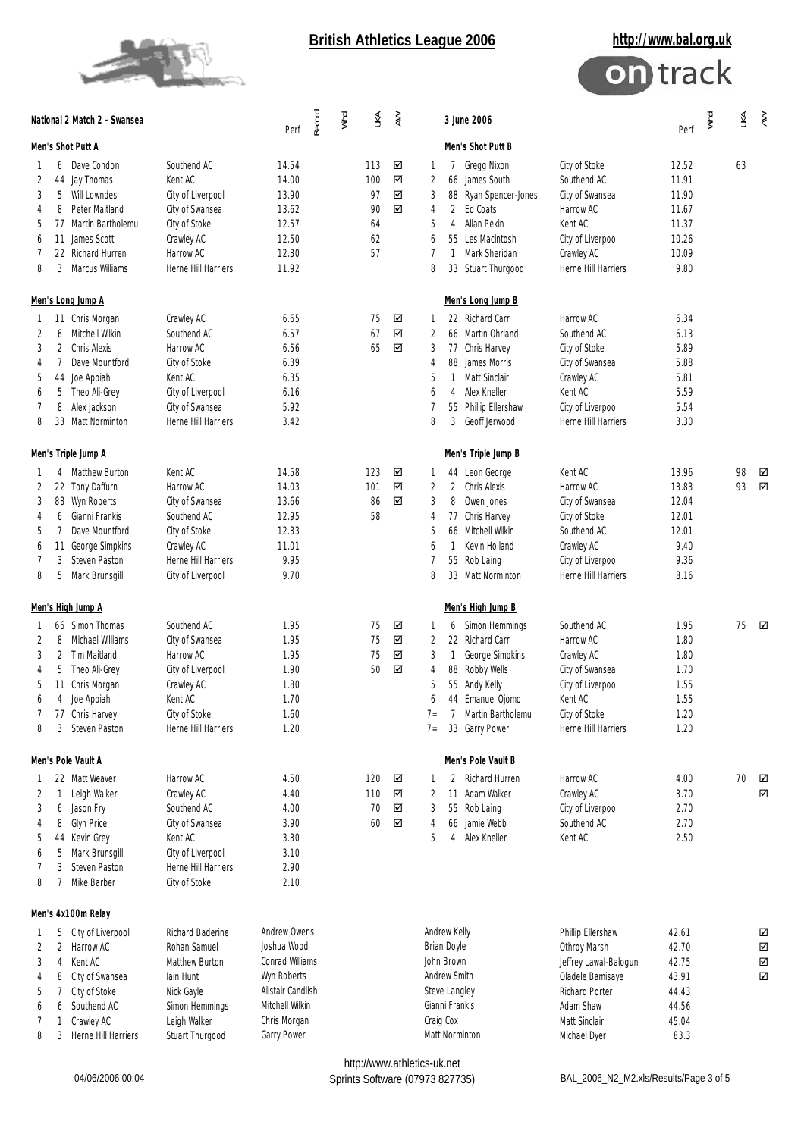



| National 2 Match 2 - Swansea                                                                                                                                                                                                             |                                                                                                                                   | Record<br>Perf                                                                                                       | Wind<br>Š                                | $\gtrapprox$     | Wind<br>Š<br>3 June 2006<br>$\gtrapprox$<br>Perf                                                                                                                                                                                                                                                                                                                                                                                                             |
|------------------------------------------------------------------------------------------------------------------------------------------------------------------------------------------------------------------------------------------|-----------------------------------------------------------------------------------------------------------------------------------|----------------------------------------------------------------------------------------------------------------------|------------------------------------------|------------------|--------------------------------------------------------------------------------------------------------------------------------------------------------------------------------------------------------------------------------------------------------------------------------------------------------------------------------------------------------------------------------------------------------------------------------------------------------------|
| Men's Shot Putt A                                                                                                                                                                                                                        |                                                                                                                                   |                                                                                                                      |                                          |                  | Men's Shot Putt B                                                                                                                                                                                                                                                                                                                                                                                                                                            |
| 6 Dave Condon<br>1<br>2<br>44 Jay Thomas<br>3<br>5<br>Will Lowndes<br>Peter Maitland<br>8<br>4<br>77 Martin Bartholemu<br>5<br>James Scott<br>6<br>11<br>7<br>22 Richard Hurren<br>Marcus Williams<br>8<br>3                             | Southend AC<br>Kent AC<br>City of Liverpool<br>City of Swansea<br>City of Stoke<br>Crawley AC<br>Harrow AC<br>Herne Hill Harriers | 14.54<br>14.00<br>13.90<br>13.62<br>12.57<br>12.50<br>12.30<br>11.92                                                 | 113<br>100<br>97<br>90<br>64<br>62<br>57 | ☑<br>☑<br>☑<br>☑ | City of Stoke<br>Gregg Nixon<br>12.52<br>63<br>1<br>7<br>66 James South<br>Southend AC<br>11.91<br>2<br>11.90<br>3<br>88 Ryan Spencer-Jones<br>City of Swansea<br>2 Ed Coats<br>Harrow AC<br>11.67<br>4<br>Allan Pekin<br>Kent AC<br>11.37<br>5<br>4<br>10.26<br>55 Les Macintosh<br>City of Liverpool<br>6<br>Mark Sheridan<br>10.09<br>7<br>$\overline{1}$<br>Crawley AC<br>9.80<br>8<br>33 Stuart Thurgood<br>Herne Hill Harriers                         |
| Men's Long Jump A<br>11 Chris Morgan<br>1<br>2<br>Mitchell Wilkin<br>6<br>Chris Alexis<br>3<br>2<br>Dave Mountford<br>4<br>7<br>5<br>Joe Appiah<br>44<br>5<br>Theo Ali-Grey<br>6<br>7<br>8<br>Alex Jackson<br>8<br>33 Matt Norminton     | Crawley AC<br>Southend AC<br>Harrow AC<br>City of Stoke<br>Kent AC<br>City of Liverpool<br>City of Swansea<br>Herne Hill Harriers | 6.65<br>6.57<br>6.56<br>6.39<br>6.35<br>6.16<br>5.92<br>3.42                                                         | 75<br>67<br>65                           | ☑<br>☑<br>☑      | Men's Long Jump B<br>22 Richard Carr<br>Harrow AC<br>6.34<br>1<br>66 Martin Ohrland<br>6.13<br>2<br>Southend AC<br>5.89<br>3<br>77 Chris Harvey<br>City of Stoke<br>5.88<br>88 James Morris<br>City of Swansea<br>4<br>Matt Sinclair<br>5.81<br>5<br>Crawley AC<br>1<br>Alex Kneller<br>Kent AC<br>5.59<br>6<br>4<br>55 Phillip Ellershaw<br>5.54<br>7<br>City of Liverpool<br>8<br>3<br>Geoff Jerwood<br>Herne Hill Harriers<br>3.30                        |
| Men's Triple Jump A<br>4 Matthew Burton<br>1<br>22 Tony Daffurn<br>2<br>3<br>88 Wyn Roberts<br>Gianni Frankis<br>4<br>6<br>5<br>Dave Mountford<br>7<br>George Simpkins<br>6<br>11<br>Steven Paston<br>7<br>3<br>8<br>Mark Brunsgill<br>5 | Kent AC<br>Harrow AC<br>City of Swansea<br>Southend AC<br>City of Stoke<br>Crawley AC<br>Herne Hill Harriers<br>City of Liverpool | 14.58<br>14.03<br>13.66<br>12.95<br>12.33<br>11.01<br>9.95<br>9.70                                                   | 123<br>101<br>86<br>58                   | ☑<br>☑<br>☑      | Men's Triple Jump B<br>Kent AC<br>13.96<br>98<br>44 Leon George<br>☑<br>1<br>93<br>☑<br>2<br>2 Chris Alexis<br>Harrow AC<br>13.83<br>3<br>8<br>Owen Jones<br>City of Swansea<br>12.04<br>12.01<br>77 Chris Harvey<br>City of Stoke<br>4<br>12.01<br>5<br>66 Mitchell Wilkin<br>Southend AC<br>Kevin Holland<br>9.40<br>Crawley AC<br>6<br>$\mathbf{1}$<br>9.36<br>55 Rob Laing<br>City of Liverpool<br>8.16<br>8<br>33 Matt Norminton<br>Herne Hill Harriers |
| Men's High Jump A<br>66 Simon Thomas<br>1<br>Michael Williams<br>2<br>8<br>3<br>2<br>Tim Maitland<br>5<br>Theo Ali-Grey<br>4<br>5<br>Chris Morgan<br>11<br>6<br>4<br>Joe Appiah<br>77 Chris Harvey<br>7<br>3 Steven Paston<br>8          | Southend AC<br>City of Swansea<br>Harrow AC<br>City of Liverpool<br>Crawley AC<br>Kent AC<br>City of Stoke<br>Herne Hill Harriers | 1.95<br>1.95<br>1.95<br>1.90<br>1.80<br>1.70<br>1.60<br>1.20                                                         | 75<br>75<br>75<br>50                     | ☑<br>☑<br>☑<br>☑ | Men's High Jump B<br>1.95<br>75<br>☑<br>Simon Hemmings<br>Southend AC<br>1<br>6<br>22 Richard Carr<br>1.80<br>2<br>Harrow AC<br>3<br>George Simpkins<br>Crawley AC<br>1.80<br>1<br>88 Robby Wells<br>City of Swansea<br>1.70<br>4<br>1.55<br>5<br>55 Andy Kelly<br>City of Liverpool<br>Kent AC<br>1.55<br>44 Emanuel Ojomo<br>6<br>1.20<br>7 Martin Bartholemu<br>City of Stoke<br>$7 =$<br>1.20<br>33 Garry Power<br>Herne Hill Harriers<br>$7 =$          |
| Men's Pole Vault A<br>22 Matt Weaver<br>1<br>Leigh Walker<br>2<br>1<br>6 Jason Fry<br>3<br><b>Glyn Price</b><br>8<br>4<br>5<br>44 Kevin Grey<br>Mark Brunsgill<br>5<br>6<br>3<br>Steven Paston<br>7<br>8<br>7<br>Mike Barber             | Harrow AC<br>Crawley AC<br>Southend AC<br>City of Swansea<br>Kent AC<br>City of Liverpool<br>Herne Hill Harriers<br>City of Stoke | 4.50<br>4.40<br>4.00<br>3.90<br>3.30<br>3.10<br>2.90<br>2.10                                                         | 120<br>110<br>70<br>60                   | ☑<br>☑<br>☑<br>☑ | Men's Pole Vault B<br>2 Richard Hurren<br>Harrow AC<br>4.00<br>70<br>☑<br>1<br>11 Adam Walker<br>3.70<br>2<br>Crawley AC<br>☑<br>55 Rob Laing<br>City of Liverpool<br>2.70<br>3<br>66 Jamie Webb<br>Southend AC<br>2.70<br>4<br>4 Alex Kneller<br>2.50<br>5<br>Kent AC                                                                                                                                                                                       |
| Men's 4x100m Relay<br>5 City of Liverpool                                                                                                                                                                                                | Richard Baderine                                                                                                                  | Andrew Owens                                                                                                         |                                          |                  | Andrew Kelly<br>Phillip Ellershaw<br>42.61                                                                                                                                                                                                                                                                                                                                                                                                                   |
| 1<br>2 Harrow AC<br>2<br>3<br>Kent AC<br>4<br>City of Swansea<br>4<br>8<br>5<br>7<br>City of Stoke<br>Southend AC<br>6<br>6<br>7<br>Crawley AC<br>1<br>8<br>Herne Hill Harriers<br>3                                                     | Rohan Samuel<br>Matthew Burton<br>lain Hunt<br>Nick Gayle<br>Simon Hemmings<br>Leigh Walker<br>Stuart Thurgood                    | Joshua Wood<br>Conrad Williams<br>Wyn Roberts<br>Alistair Candlish<br>Mitchell Wilkin<br>Chris Morgan<br>Garry Power |                                          |                  | ☑<br><b>Brian Doyle</b><br>Othroy Marsh<br>42.70<br>☑<br>John Brown<br>42.75<br>☑<br>Jeffrey Lawal-Balogun<br>Andrew Smith<br>43.91<br>Oladele Bamisaye<br>☑<br>Richard Porter<br>44.43<br>Steve Langley<br>Gianni Frankis<br>Adam Shaw<br>44.56<br>Craig Cox<br>Matt Sinclair<br>45.04<br>Matt Norminton<br>Michael Dyer<br>83.3<br>http://www.athletics-uk.net                                                                                             |

Sprints Software (07973 827735) BAL\_2006\_N2\_M2.xls/Results/Page 3 of 5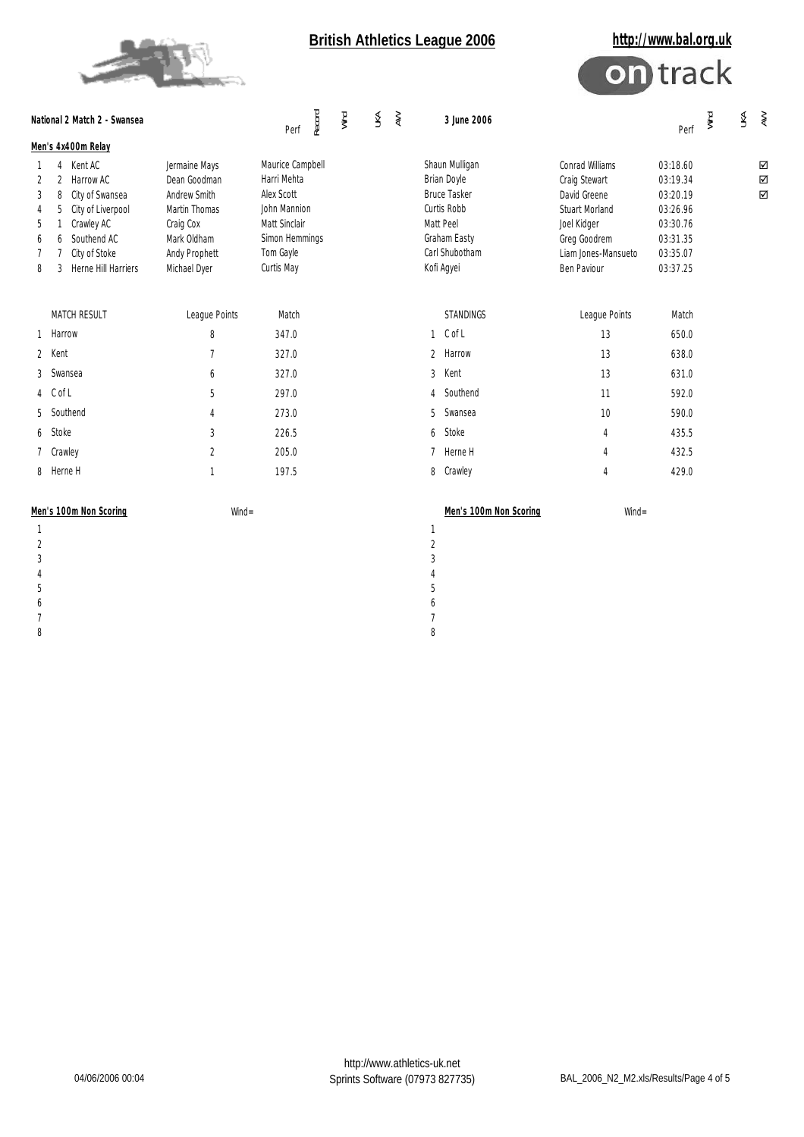



| National 2 Match 2 - Swansea         |                                                                                                                                                             |                                                                                                                             | Record<br>Perf                                                                                                              | Wind | ŠК | $\gtrapprox$ | 3 June 2006                                                                                                                             |                                                                                                                                                | Perf                                                                                         | Wind | $\lessgtr$ | $\gtrapprox$                      |
|--------------------------------------|-------------------------------------------------------------------------------------------------------------------------------------------------------------|-----------------------------------------------------------------------------------------------------------------------------|-----------------------------------------------------------------------------------------------------------------------------|------|----|--------------|-----------------------------------------------------------------------------------------------------------------------------------------|------------------------------------------------------------------------------------------------------------------------------------------------|----------------------------------------------------------------------------------------------|------|------------|-----------------------------------|
|                                      | Men's 4x400m Relay                                                                                                                                          |                                                                                                                             |                                                                                                                             |      |    |              |                                                                                                                                         |                                                                                                                                                |                                                                                              |      |            |                                   |
| 1<br>2<br>3<br>4<br>5<br>6<br>7<br>8 | 4 Kent AC<br>2 Harrow AC<br>City of Swansea<br>8<br>City of Liverpool<br>5<br>Crawley AC<br>6 Southend AC<br>City of Stoke<br>7<br>Herne Hill Harriers<br>3 | Jermaine Mays<br>Dean Goodman<br>Andrew Smith<br>Martin Thomas<br>Craig Cox<br>Mark Oldham<br>Andy Prophett<br>Michael Dyer | Maurice Campbell<br>Harri Mehta<br>Alex Scott<br>John Mannion<br>Matt Sinclair<br>Simon Hemmings<br>Tom Gayle<br>Curtis May |      |    |              | Shaun Mulligan<br><b>Brian Doyle</b><br><b>Bruce Tasker</b><br>Curtis Robb<br>Matt Peel<br>Graham Easty<br>Carl Shubotham<br>Kofi Agyei | Conrad Williams<br>Craig Stewart<br>David Greene<br><b>Stuart Morland</b><br>Joel Kidger<br>Greg Goodrem<br>Liam Jones-Mansueto<br>Ben Paviour | 03:18.60<br>03:19.34<br>03:20.19<br>03:26.96<br>03:30.76<br>03:31.35<br>03:35.07<br>03:37.25 |      |            | ☑<br>$\overline{\mathsf{S}}$<br>☑ |
|                                      | MATCH RESULT                                                                                                                                                | League Points                                                                                                               | Match                                                                                                                       |      |    |              | <b>STANDINGS</b>                                                                                                                        | League Points                                                                                                                                  | Match                                                                                        |      |            |                                   |
| $\mathbf{1}$                         | Harrow                                                                                                                                                      | 8                                                                                                                           | 347.0                                                                                                                       |      |    |              | $1$ C of L                                                                                                                              | 13                                                                                                                                             | 650.0                                                                                        |      |            |                                   |
| 2                                    | Kent                                                                                                                                                        | $\overline{7}$                                                                                                              | 327.0                                                                                                                       |      |    |              | Harrow<br>$\overline{2}$                                                                                                                | 13                                                                                                                                             | 638.0                                                                                        |      |            |                                   |
| 3                                    | Swansea                                                                                                                                                     | 6                                                                                                                           | 327.0                                                                                                                       |      |    |              | Kent<br>$\mathfrak{Z}$                                                                                                                  | 13                                                                                                                                             | 631.0                                                                                        |      |            |                                   |
|                                      | 4 C of L                                                                                                                                                    | 5                                                                                                                           | 297.0                                                                                                                       |      |    |              | Southend<br>$\overline{4}$                                                                                                              | 11                                                                                                                                             | 592.0                                                                                        |      |            |                                   |
| 5                                    | Southend                                                                                                                                                    | 4                                                                                                                           | 273.0                                                                                                                       |      |    |              | Swansea<br>5                                                                                                                            | 10                                                                                                                                             | 590.0                                                                                        |      |            |                                   |
| 6                                    | Stoke                                                                                                                                                       | 3                                                                                                                           | 226.5                                                                                                                       |      |    |              | Stoke<br>6                                                                                                                              | $\overline{4}$                                                                                                                                 | 435.5                                                                                        |      |            |                                   |
|                                      | Crawley                                                                                                                                                     | $\overline{2}$                                                                                                              | 205.0                                                                                                                       |      |    |              | 7 Herne H                                                                                                                               | 4                                                                                                                                              | 432.5                                                                                        |      |            |                                   |
| 8                                    | Herne H                                                                                                                                                     | $\mathbf{1}$                                                                                                                | 197.5                                                                                                                       |      |    |              | 8<br>Crawley                                                                                                                            | $\overline{4}$                                                                                                                                 | 429.0                                                                                        |      |            |                                   |
| Men's 100m Non Scoring<br>$W\!ind =$ |                                                                                                                                                             |                                                                                                                             |                                                                                                                             |      |    |              | Men's 100m Non Scoring                                                                                                                  | $W\!in d =$                                                                                                                                    |                                                                                              |      |            |                                   |
| $\mathbf{1}$                         |                                                                                                                                                             |                                                                                                                             |                                                                                                                             |      |    |              | 1                                                                                                                                       |                                                                                                                                                |                                                                                              |      |            |                                   |
| $\overline{2}$                       |                                                                                                                                                             |                                                                                                                             |                                                                                                                             |      |    |              | $\overline{2}$                                                                                                                          |                                                                                                                                                |                                                                                              |      |            |                                   |
| 3<br>4                               |                                                                                                                                                             |                                                                                                                             |                                                                                                                             |      |    |              | 3                                                                                                                                       |                                                                                                                                                |                                                                                              |      |            |                                   |
| 5                                    |                                                                                                                                                             |                                                                                                                             |                                                                                                                             |      |    |              | $\overline{4}$<br>5                                                                                                                     |                                                                                                                                                |                                                                                              |      |            |                                   |
| 6                                    |                                                                                                                                                             |                                                                                                                             |                                                                                                                             |      |    |              | 6                                                                                                                                       |                                                                                                                                                |                                                                                              |      |            |                                   |
| 7                                    |                                                                                                                                                             |                                                                                                                             |                                                                                                                             |      |    |              | $\overline{7}$                                                                                                                          |                                                                                                                                                |                                                                                              |      |            |                                   |

8 8